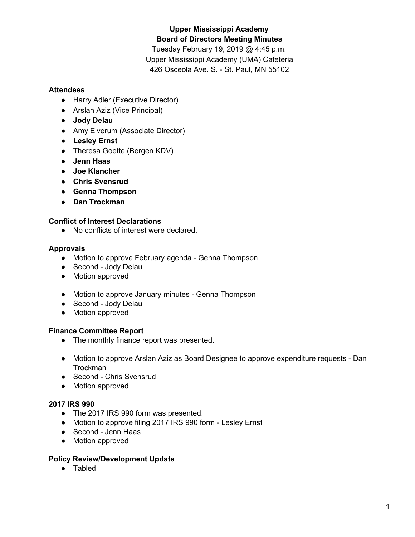# **Upper Mississippi Academy Board of Directors Meeting Minutes**

Tuesday February 19, 2019 @ 4:45 p.m. Upper Mississippi Academy (UMA) Cafeteria 426 Osceola Ave. S. - St. Paul, MN 55102

### **Attendees**

- Harry Adler (Executive Director)
- Arslan Aziz (Vice Principal)
- **● Jody Delau**
- Amy Elverum (Associate Director)
- **● Lesley Ernst**
- Theresa Goette (Bergen KDV)
- **● Jenn Haas**
- **● Joe Klancher**
- **● Chris Svensrud**
- **● Genna Thompson**
- **● Dan Trockman**

## **Conflict of Interest Declarations**

● No conflicts of interest were declared.

### **Approvals**

- Motion to approve February agenda Genna Thompson
- Second Jody Delau
- Motion approved
- Motion to approve January minutes Genna Thompson
- Second Jody Delau
- Motion approved

## **Finance Committee Report**

- The monthly finance report was presented.
- Motion to approve Arslan Aziz as Board Designee to approve expenditure requests Dan **Trockman**
- Second Chris Svensrud
- Motion approved

## **2017 IRS 990**

- The 2017 IRS 990 form was presented.
- Motion to approve filing 2017 IRS 990 form Lesley Ernst
- Second Jenn Haas
- Motion approved

#### **Policy Review/Development Update**

● Tabled